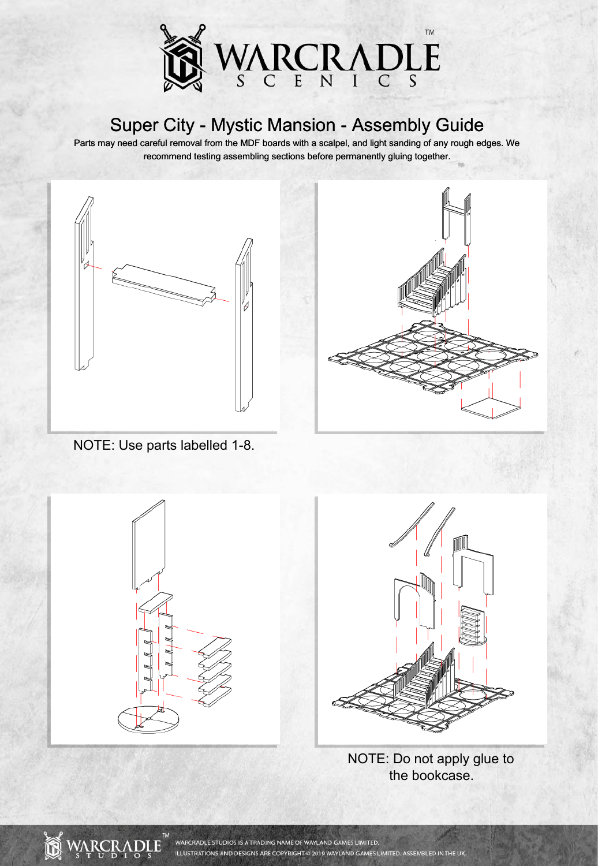

Parts may need careful removal from the MDF boards with a scalpel, and light sanding of any rough edges. We recommend testing assembling sections before permanently gluing together.



NOTE: Use parts labelled 1-8.

![](_page_0_Picture_5.jpeg)

![](_page_0_Picture_6.jpeg)

NOTE: Do not apply glue to the bookcase.

![](_page_0_Picture_8.jpeg)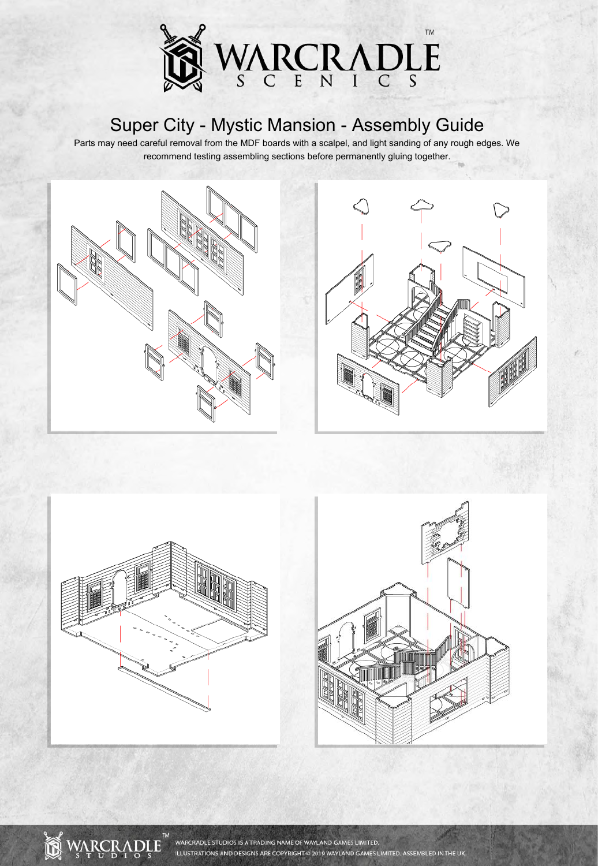![](_page_1_Picture_0.jpeg)

Parts may need careful removal from the MDF boards with a scalpel, and light sanding of any rough edges. We recommend testing assembling sections before permanently gluing together.

![](_page_1_Picture_3.jpeg)

![](_page_1_Picture_4.jpeg)

![](_page_1_Picture_5.jpeg)

![](_page_1_Picture_6.jpeg)

![](_page_1_Picture_7.jpeg)

WARCRADLE STUDIOS IS A TRADING NAME OF WAYLAND GAMES LIMITED. ILLUSTRATIONS AND DESIGNS ARE COPYRIGHT @ 2019 WAYLAND GAMES LIMITED. ASSEMBLED IN THE UK.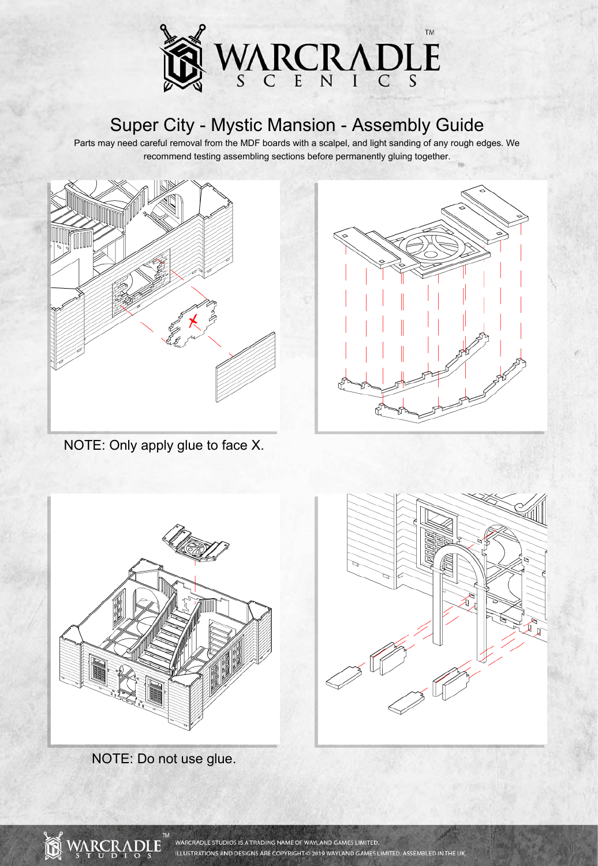![](_page_2_Picture_0.jpeg)

![](_page_2_Picture_3.jpeg)

![](_page_2_Figure_4.jpeg)

NOTE: Only apply glue to face X.

![](_page_2_Picture_6.jpeg)

NOTE: Do not use glue.

![](_page_2_Picture_8.jpeg)

![](_page_2_Picture_9.jpeg)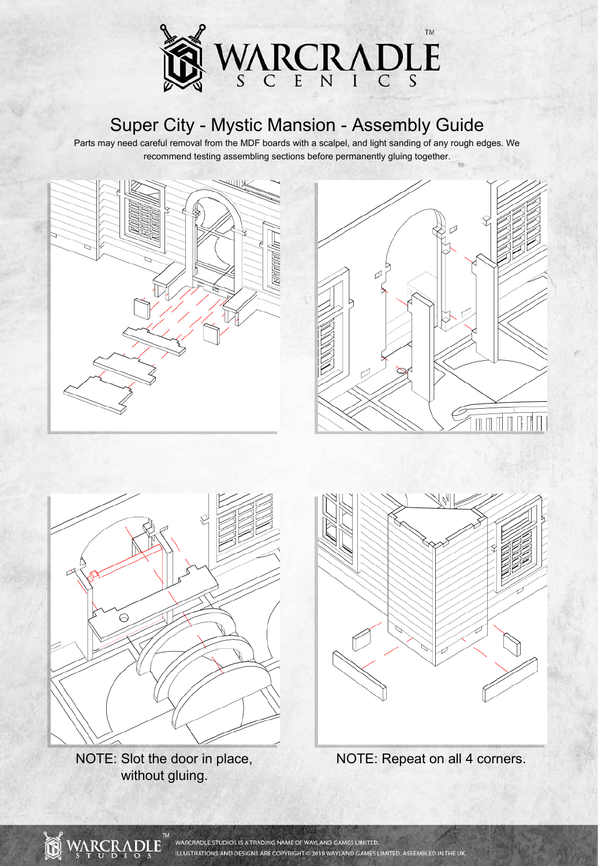![](_page_3_Picture_0.jpeg)

![](_page_3_Picture_3.jpeg)

![](_page_3_Picture_4.jpeg)

![](_page_3_Picture_5.jpeg)

NOTE: Slot the door in place, without gluing.

![](_page_3_Picture_7.jpeg)

![](_page_3_Figure_8.jpeg)

![](_page_3_Picture_9.jpeg)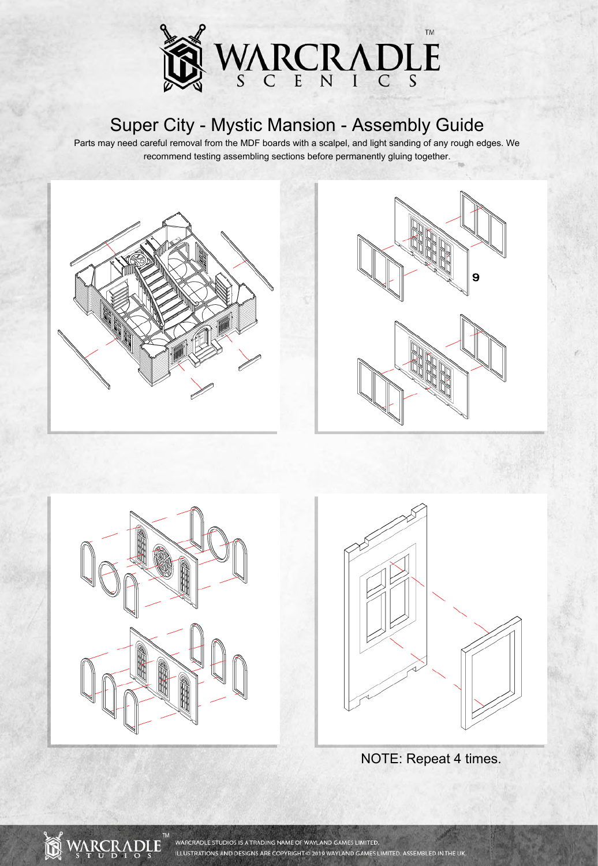![](_page_4_Picture_0.jpeg)

Parts may need careful removal from the MDF boards with a scalpel, and light sanding of any rough edges. We recommend testing assembling sections before permanently gluing together.

![](_page_4_Picture_3.jpeg)

![](_page_4_Picture_4.jpeg)

![](_page_4_Picture_5.jpeg)

WARCRADLE STUDIOS IS A TRADING NAME OF WAYLAND GAMES LIMITED.

ILLUSTRATIONS AND DESIGNS ARE COPYRIGHT @ 2019 WAYLAND GAMES LIMITED. ASSEMBLED IN THE UK.

**WARCRADI** 

ĥ

![](_page_4_Picture_6.jpeg)

NOTE: Repeat 4 times.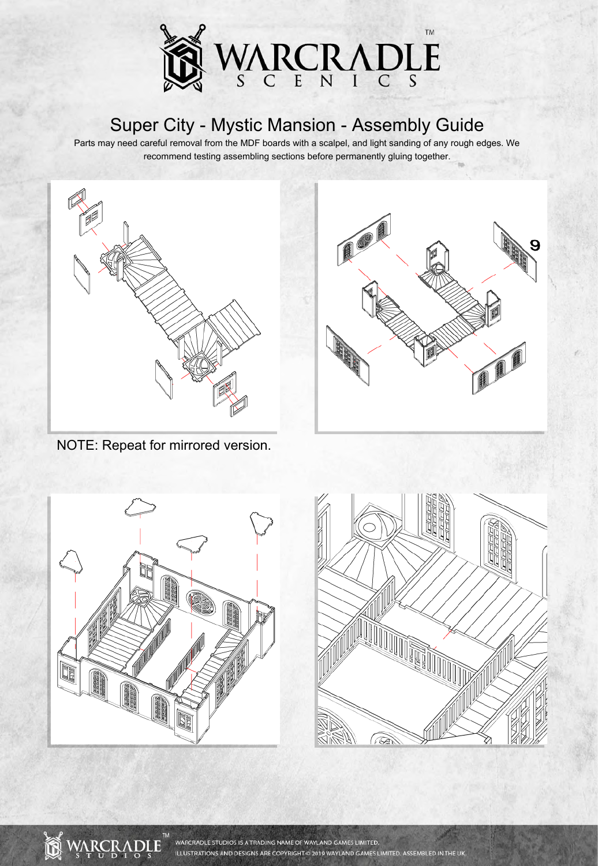![](_page_5_Picture_0.jpeg)

![](_page_5_Picture_3.jpeg)

![](_page_5_Picture_4.jpeg)

NOTE: Repeat for mirrored version.

![](_page_5_Picture_6.jpeg)

![](_page_5_Picture_7.jpeg)

![](_page_5_Picture_8.jpeg)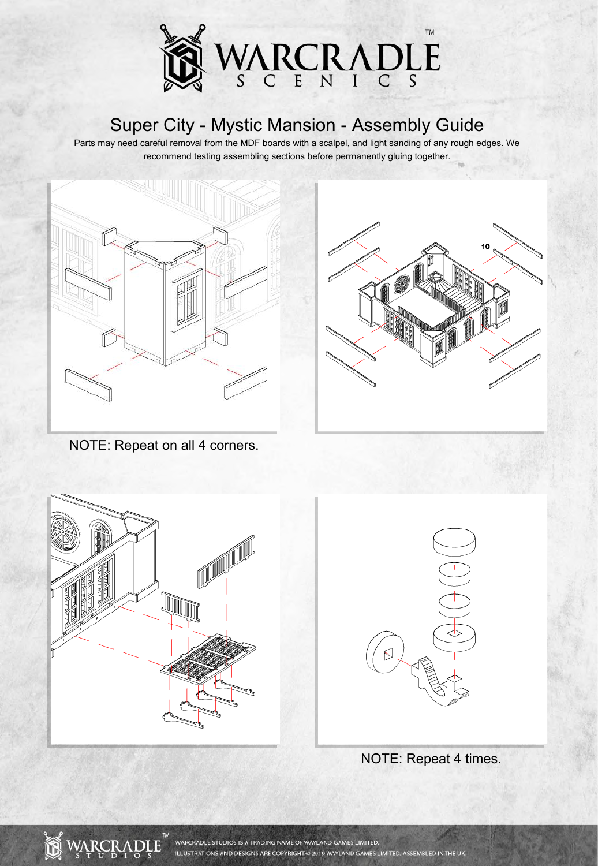![](_page_6_Picture_0.jpeg)

Parts may need careful removal from the MDF boards with a scalpel, and light sanding of any rough edges. We recommend testing assembling sections before permanently gluing together.

![](_page_6_Picture_3.jpeg)

![](_page_6_Picture_4.jpeg)

NOTE: Repeat on all 4 corners.

![](_page_6_Figure_6.jpeg)

![](_page_6_Picture_7.jpeg)

![](_page_6_Figure_8.jpeg)

![](_page_6_Picture_9.jpeg)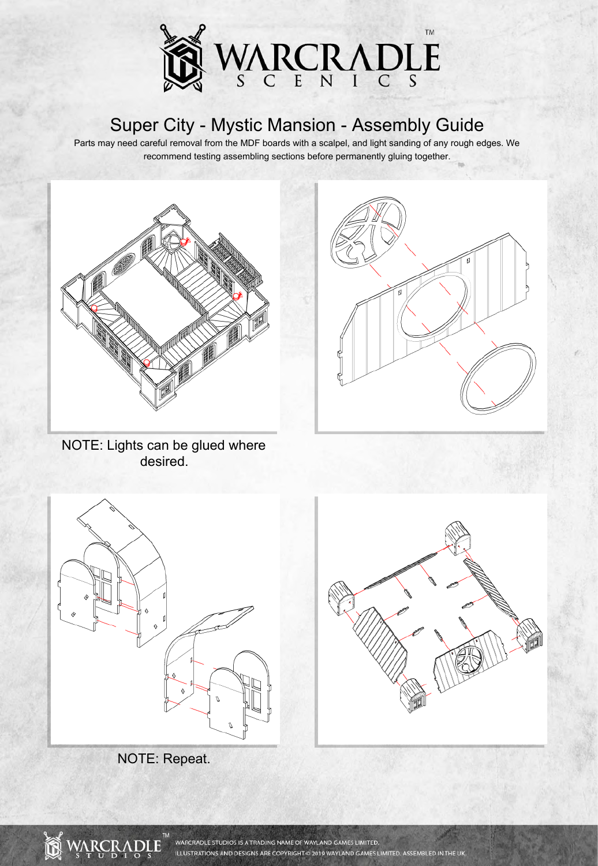![](_page_7_Picture_0.jpeg)

![](_page_7_Picture_3.jpeg)

NOTE: Lights can be glued where desired.

![](_page_7_Picture_5.jpeg)

![](_page_7_Picture_6.jpeg)

![](_page_7_Picture_7.jpeg)

![](_page_7_Picture_8.jpeg)

![](_page_7_Picture_9.jpeg)